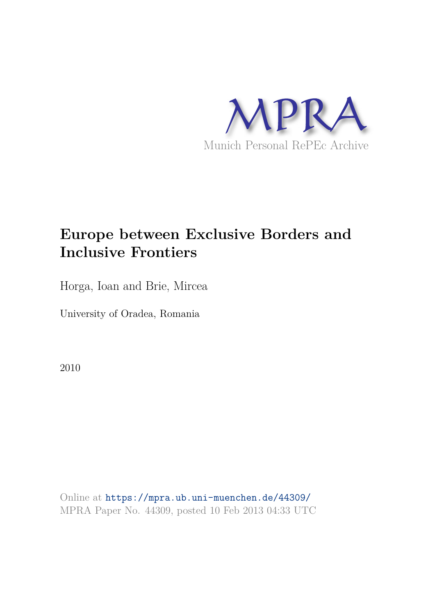

# **Europe between Exclusive Borders and Inclusive Frontiers**

Horga, Ioan and Brie, Mircea

University of Oradea, Romania

2010

Online at https://mpra.ub.uni-muenchen.de/44309/ MPRA Paper No. 44309, posted 10 Feb 2013 04:33 UTC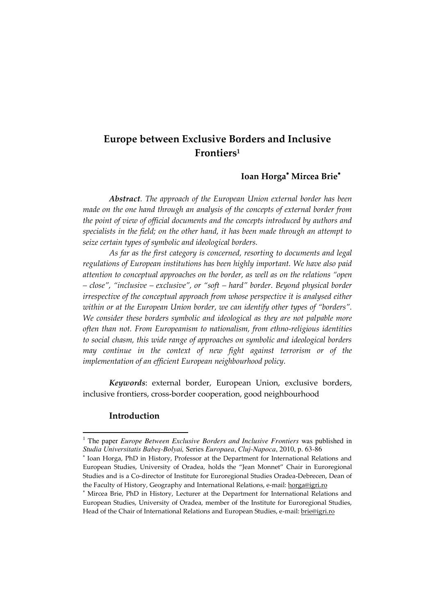## **Europe between Exclusive Borders and Inclusive Frontiers<sup>1</sup>**

## **Ioan Horga Mircea Brie**

*Abstract. The approach of the European Union external border has been made on the one hand through an analysis of the concepts of external border from the point of view of official documents and the concepts introduced by authors and specialists in the field; on the other hand, it has been made through an attempt to seize certain types of symbolic and ideological borders.* 

*As far as the first category is concerned, resorting to documents and legal regulations of European institutions has been highly important. We have also paid attention to conceptual approaches on the border, as well as on the relations "open – close", "inclusive – exclusive", or "soft – hard" border. Beyond physical border irrespective of the conceptual approach from whose perspective it is analysed either within or at the European Union border, we can identify other types of "borders". We consider these borders symbolic and ideological as they are not palpable more often than not. From Europeanism to nationalism, from ethno-religious identities to social chasm, this wide range of approaches on symbolic and ideological borders may continue in the context of new fight against terrorism or of the implementation of an efficient European neighbourhood policy.* 

*Keywords*: external border, European Union, exclusive borders, inclusive frontiers, cross-border cooperation, good neighbourhood

#### **Introduction**

<sup>1</sup> The paper *Europe Between Exclusive Borders and Inclusive Frontiers* was published in *Studia Universitatis Babeş-Bolyai,* Series *Europaea*, *Cluj-Napoca*, 2010, p. 63-86

<sup>\*</sup> Ioan Horga, PhD in History, Professor at the Department for International Relations and European Studies, University of Oradea, holds the "Jean Monnet" Chair in Euroregional Studies and is a Co-director of Institute for Euroregional Studies Oradea-Debrecen, Dean of the Faculty of History, Geography and International Relations, e-mail: horga@igri.ro

 Mircea Brie, PhD in History, Lecturer at the Department for International Relations and European Studies, University of Oradea, member of the Institute for Euroregional Studies, Head of the Chair of International Relations and European Studies, e-mail: brie@igri.ro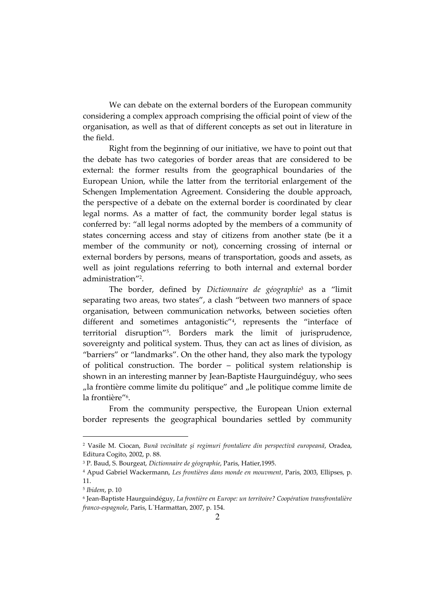We can debate on the external borders of the European community considering a complex approach comprising the official point of view of the organisation, as well as that of different concepts as set out in literature in the field.

Right from the beginning of our initiative, we have to point out that the debate has two categories of border areas that are considered to be external: the former results from the geographical boundaries of the European Union, while the latter from the territorial enlargement of the Schengen Implementation Agreement. Considering the double approach, the perspective of a debate on the external border is coordinated by clear legal norms. As a matter of fact, the community border legal status is conferred by: "all legal norms adopted by the members of a community of states concerning access and stay of citizens from another state (be it a member of the community or not), concerning crossing of internal or external borders by persons, means of transportation, goods and assets, as well as joint regulations referring to both internal and external border administration" 2 .

The border, defined by *Dictionnaire de géographie*<sup>3</sup> as a "limit separating two areas, two states", a clash "between two manners of space organisation, between communication networks, between societies often different and sometimes antagonistic" 4 , represents the "interface of territorial disruption" 5 . Borders mark the limit of jurisprudence, sovereignty and political system. Thus, they can act as lines of division, as "barriers" or "landmarks". On the other hand, they also mark the typology of political construction. The border – political system relationship is shown in an interesting manner by Jean-Baptiste Haurguindéguy, who sees "la frontière comme limite du politique" and "le politique comme limite de la frontière"<sup>6</sup> .

From the community perspective, the European Union external border represents the geographical boundaries settled by community

<sup>2</sup> Vasile M. Ciocan, *Bună vecinătate şi regimuri frontaliere din perspectivă europeană*, Oradea, Editura Cogito, 2002, p. 88.

<sup>3</sup> P. Baud, S. Bourgeat, *Dictionnaire de géographie*, Paris, Hatier,1995.

<sup>4</sup> Apud Gabriel Wackermann, *Les frontières dans monde en mouvment*, Paris, 2003, Ellipses, p. 11.

<sup>5</sup> *Ibidem*, p. 10

<sup>6</sup> Jean-Baptiste Haurguindéguy, *La frontière en Europe: un territoire? Coopération transfrontalière franco-espagnole*, Paris, L`Harmattan, 2007, p. 154.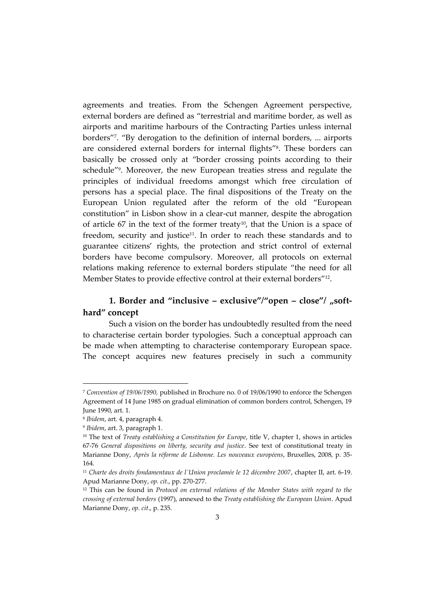agreements and treaties. From the Schengen Agreement perspective, external borders are defined as "terrestrial and maritime border, as well as airports and maritime harbours of the Contracting Parties unless internal borders" 7 . "By derogation to the definition of internal borders, ... airports are considered external borders for internal flights" 8 . These borders can basically be crossed only at "border crossing points according to their schedule" 9 . Moreover, the new European treaties stress and regulate the principles of individual freedoms amongst which free circulation of persons has a special place. The final dispositions of the Treaty on the European Union regulated after the reform of the old "European constitution" in Lisbon show in a clear-cut manner, despite the abrogation of article 67 in the text of the former treaty<sup>10</sup>, that the Union is a space of freedom, security and justice<sup>11</sup>. In order to reach these standards and to guarantee citizens' rights, the protection and strict control of external borders have become compulsory. Moreover, all protocols on external relations making reference to external borders stipulate "the need for all Member States to provide effective control at their external borders" 12 .

## **1. Border and "inclusive – exclusive"/"open – close"/ "softhard" concept**

Such a vision on the border has undoubtedly resulted from the need to characterise certain border typologies. Such a conceptual approach can be made when attempting to characterise contemporary European space. The concept acquires new features precisely in such a community

<sup>7</sup> *Convention of 19/06/1990,* published in Brochure no. 0 of 19/06/1990 to enforce the Schengen Agreement of 14 June 1985 on gradual elimination of common borders control, Schengen, 19 June 1990, art. 1.

<sup>8</sup> *Ibidem*, art. 4, paragraph 4.

<sup>9</sup> *Ibidem*, art. 3, paragraph 1.

<sup>&</sup>lt;sup>10</sup> The text of *Treaty establishing a Constitution for Europe*, title V, chapter 1, shows in articles 67-76 *General dispositions on liberty, security and justice*. See text of constitutional treaty in Marianne Dony, *Après la réforme de Lisbonne. Les nouveaux européens*, Bruxelles, 2008, p. 35- 164.

<sup>11</sup> *Charte des droits fondamentaux de l`Union proclamée le 12 décembre 2007*, chapter II, art. 6-19. Apud Marianne Dony, *op. cit*., pp. 270-277.

<sup>12</sup> This can be found in *Protocol on external relations of the Member States with regard to the crossing of external borders* (1997), annexed to the *Treaty establishing the European Union*. Apud Marianne Dony, *op. cit*., p. 235.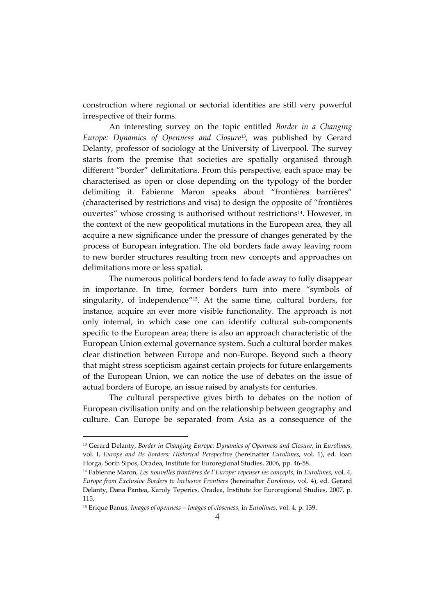construction where regional or sectorial identities are still very powerful irrespective of their forms.

An interesting survey on the topic entitled *Border in a Changing Europe: Dynamics of Openness and Closure*13, was published by Gerard Delanty, professor of sociology at the University of Liverpool. The survey starts from the premise that societies are spatially organised through different "border" delimitations. From this perspective, each space may be characterised as open or close depending on the typology of the border delimiting it. Fabienne Maron speaks about "frontières barrières" (characterised by restrictions and visa) to design the opposite of "frontières ouvertes" whose crossing is authorised without restrictions<sup>14</sup>. However, in the context of the new geopolitical mutations in the European area, they all acquire a new significance under the pressure of changes generated by the process of European integration. The old borders fade away leaving room to new border structures resulting from new concepts and approaches on delimitations more or less spatial.

The numerous political borders tend to fade away to fully disappear in importance. In time, former borders turn into mere "symbols of singularity, of independence" <sup>15</sup>. At the same time, cultural borders, for instance, acquire an ever more visible functionality. The approach is not only internal, in which case one can identify cultural sub-components specific to the European area; there is also an approach characteristic of the European Union external governance system. Such a cultural border makes clear distinction between Europe and non-Europe. Beyond such a theory that might stress scepticism against certain projects for future enlargements of the European Union, we can notice the use of debates on the issue of actual borders of Europe, an issue raised by analysts for centuries.

The cultural perspective gives birth to debates on the notion of European civilisation unity and on the relationship between geography and culture. Can Europe be separated from Asia as a consequence of the

<sup>13</sup> Gerard Delanty, *Border in Changing Europe: Dynamics of Openness and Closure*, in *Eurolimes*, vol. I, *Europe and Its Borders: Historical Perspective* (hereinafter *Eurolimes*, vol. 1), ed. Ioan Horga, Sorin Sipos, Oradea, Institute for Euroregional Studies, 2006, pp. 46-58.

<sup>14</sup> Fabienne Maron, *Les nouvelles frontières de l`Europe: repenser les concepts*, in *Eurolimes*, vol. 4, *Europe from Exclusive Borders to Inclusive Frontiers* (hereinafter *Eurolimes*, vol. 4), ed. Gerard Delanty, Dana Pantea, Karoly Teperics, Oradea, Institute for Euroregional Studies, 2007, p. 115.

<sup>15</sup> Erique Banus, *Images of openness – Images of closeness*, in *Eurolimes*, vol. 4, p. 139.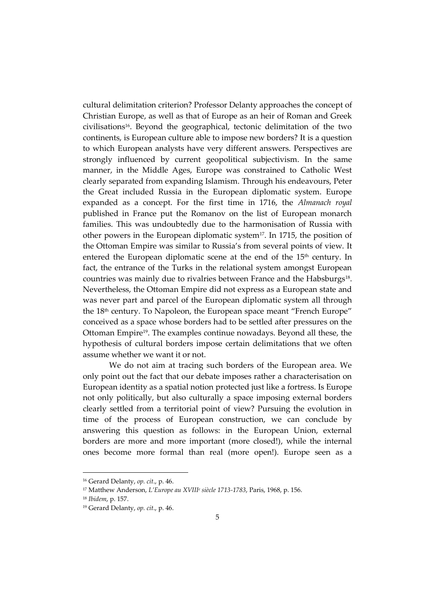cultural delimitation criterion? Professor Delanty approaches the concept of Christian Europe, as well as that of Europe as an heir of Roman and Greek civilisations16. Beyond the geographical, tectonic delimitation of the two continents, is European culture able to impose new borders? It is a question to which European analysts have very different answers. Perspectives are strongly influenced by current geopolitical subjectivism. In the same manner, in the Middle Ages, Europe was constrained to Catholic West clearly separated from expanding Islamism. Through his endeavours, Peter the Great included Russia in the European diplomatic system. Europe expanded as a concept. For the first time in 1716, the *Almanach royal* published in France put the Romanov on the list of European monarch families. This was undoubtedly due to the harmonisation of Russia with other powers in the European diplomatic system17. In 1715, the position of the Ottoman Empire was similar to Russia's from several points of view. It entered the European diplomatic scene at the end of the 15<sup>th</sup> century. In fact, the entrance of the Turks in the relational system amongst European countries was mainly due to rivalries between France and the Habsburgs<sup>18</sup>. Nevertheless, the Ottoman Empire did not express as a European state and was never part and parcel of the European diplomatic system all through the 18th century. To Napoleon, the European space meant "French Europe" conceived as a space whose borders had to be settled after pressures on the Ottoman Empire19. The examples continue nowadays. Beyond all these, the hypothesis of cultural borders impose certain delimitations that we often assume whether we want it or not.

We do not aim at tracing such borders of the European area. We only point out the fact that our debate imposes rather a characterisation on European identity as a spatial notion protected just like a fortress. Is Europe not only politically, but also culturally a space imposing external borders clearly settled from a territorial point of view? Pursuing the evolution in time of the process of European construction, we can conclude by answering this question as follows: in the European Union, external borders are more and more important (more closed!), while the internal ones become more formal than real (more open!). Europe seen as a

<sup>16</sup> Gerard Delanty, *op. cit*., p. 46.

<sup>17</sup> Matthew Anderson, *L'Europe au XVIII<sup>e</sup> siècle 1713-1783*, Paris, 1968, p. 156.

<sup>18</sup> *Ibidem*, p. 157.

<sup>19</sup> Gerard Delanty, *op. cit*., p. 46.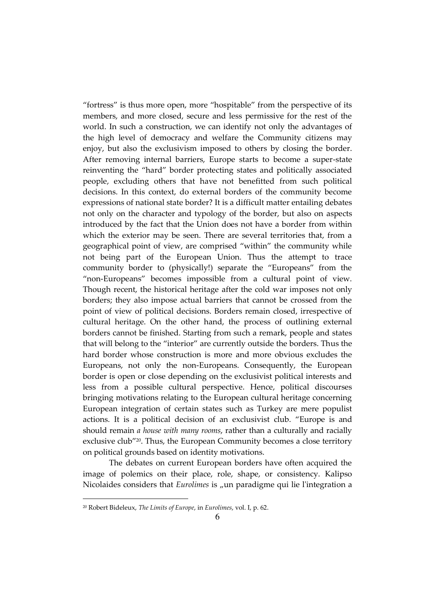"fortress" is thus more open, more "hospitable" from the perspective of its members, and more closed, secure and less permissive for the rest of the world. In such a construction, we can identify not only the advantages of the high level of democracy and welfare the Community citizens may enjoy, but also the exclusivism imposed to others by closing the border. After removing internal barriers, Europe starts to become a super-state reinventing the "hard" border protecting states and politically associated people, excluding others that have not benefitted from such political decisions. In this context, do external borders of the community become expressions of national state border? It is a difficult matter entailing debates not only on the character and typology of the border, but also on aspects introduced by the fact that the Union does not have a border from within which the exterior may be seen. There are several territories that, from a geographical point of view, are comprised "within" the community while not being part of the European Union. Thus the attempt to trace community border to (physically!) separate the "Europeans" from the "non-Europeans" becomes impossible from a cultural point of view. Though recent, the historical heritage after the cold war imposes not only borders; they also impose actual barriers that cannot be crossed from the point of view of political decisions. Borders remain closed, irrespective of cultural heritage. On the other hand, the process of outlining external borders cannot be finished. Starting from such a remark, people and states that will belong to the "interior" are currently outside the borders. Thus the hard border whose construction is more and more obvious excludes the Europeans, not only the non-Europeans. Consequently, the European border is open or close depending on the exclusivist political interests and less from a possible cultural perspective. Hence, political discourses bringing motivations relating to the European cultural heritage concerning European integration of certain states such as Turkey are mere populist actions. It is a political decision of an exclusivist club. "Europe is and should remain *a house with many rooms*, rather than a culturally and racially exclusive club"20. Thus, the European Community becomes a close territory on political grounds based on identity motivations.

The debates on current European borders have often acquired the image of polemics on their place, role, shape, or consistency. Kalipso Nicolaides considers that *Eurolimes* is "un paradigme qui lie l'integration a

<sup>20</sup> Robert Bideleux, *The Limits of Europe*, in *Eurolimes*, vol. I, p. 62.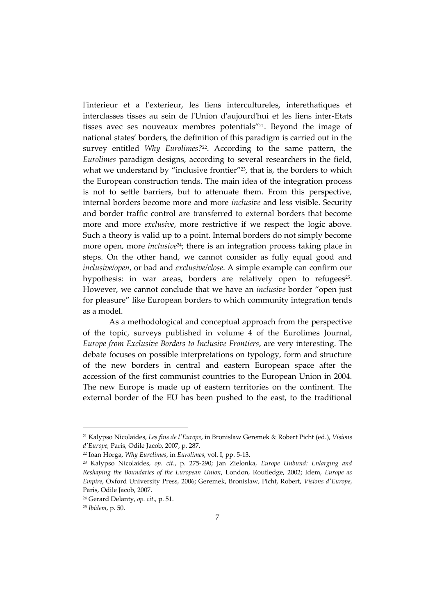l'interieur et a l'exterieur, les liens intercultureles, interethatiques et interclasses tisses au sein de l'Union d'aujourd'hui et les liens inter-Etats tisses avec ses nouveaux membres potentials"<sup>21</sup>. Beyond the image of national states' borders, the definition of this paradigm is carried out in the survey entitled *Why Eurolimes?*22. According to the same pattern, the *Eurolimes* paradigm designs, according to several researchers in the field, what we understand by "inclusive frontier"<sup>23</sup>, that is, the borders to which the European construction tends. The main idea of the integration process is not to settle barriers, but to attenuate them. From this perspective, internal borders become more and more *inclusive* and less visible. Security and border traffic control are transferred to external borders that become more and more *exclusive*, more restrictive if we respect the logic above. Such a theory is valid up to a point. Internal borders do not simply become more open, more *inclusive*<sup>24</sup>; there is an integration process taking place in steps. On the other hand, we cannot consider as fully equal good and *inclusive/open*, or bad and *exclusive/close*. A simple example can confirm our hypothesis: in war areas, borders are relatively open to refugees<sup>25</sup>. However, we cannot conclude that we have an *inclusive* border "open just for pleasure" like European borders to which community integration tends as a model.

As a methodological and conceptual approach from the perspective of the topic, surveys published in volume 4 of the Eurolimes Journal, *Europe from Exclusive Borders to Inclusive Frontiers*, are very interesting. The debate focuses on possible interpretations on typology, form and structure of the new borders in central and eastern European space after the accession of the first communist countries to the European Union in 2004. The new Europe is made up of eastern territories on the continent. The external border of the EU has been pushed to the east, to the traditional

<sup>21</sup> Kalypso Nicolaides, *Les fins de l'Europe*, in Bronislaw Geremek & Robert Picht (ed.), *Visions d'Europe,* Paris, Odile Jacob, 2007, p. 287.

<sup>22</sup> Ioan Horga, *Why Eurolimes*, in *Eurolimes*, vol. I, pp. 5-13.

<sup>23</sup> Kalypso Nicolaides, *op. cit*., p. 275-290; Jan Zielonka, *Europe Unbund: Enlarging and Reshaping the Boundaries of the European Union*, London, Routledge, 2002; Idem, *Europe as Empire*, Oxford University Press, 2006; Geremek, Bronislaw, Picht, Robert, *Visions d'Europe*, Paris, Odile Jacob, 2007.

<sup>24</sup> Gerard Delanty, *op. cit*., p. 51.

<sup>25</sup> *Ibidem*, p. 50.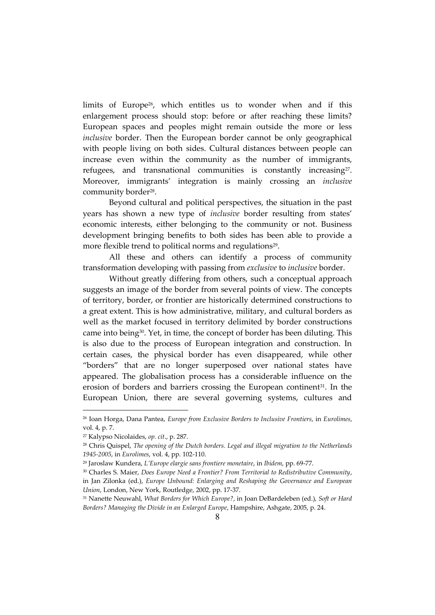limits of Europe<sup>26</sup>, which entitles us to wonder when and if this enlargement process should stop: before or after reaching these limits? European spaces and peoples might remain outside the more or less *inclusive* border. Then the European border cannot be only geographical with people living on both sides. Cultural distances between people can increase even within the community as the number of immigrants, refugees, and transnational communities is constantly increasing<sup>27</sup>. Moreover, immigrants' integration is mainly crossing an *inclusive* community border<sup>28</sup>.

Beyond cultural and political perspectives, the situation in the past years has shown a new type of *inclusive* border resulting from states' economic interests, either belonging to the community or not. Business development bringing benefits to both sides has been able to provide a more flexible trend to political norms and regulations<sup>29</sup> .

All these and others can identify a process of community transformation developing with passing from *exclusive* to *inclusive* border.

Without greatly differing from others, such a conceptual approach suggests an image of the border from several points of view. The concepts of territory, border, or frontier are historically determined constructions to a great extent. This is how administrative, military, and cultural borders as well as the market focused in territory delimited by border constructions came into being30. Yet, in time, the concept of border has been diluting. This is also due to the process of European integration and construction. In certain cases, the physical border has even disappeared, while other "borders" that are no longer superposed over national states have appeared. The globalisation process has a considerable influence on the erosion of borders and barriers crossing the European continent<sup>31</sup>. In the European Union, there are several governing systems, cultures and

<sup>26</sup> Ioan Horga, Dana Pantea, *Europe from Exclusive Borders to Inclusive Frontiers*, in *Eurolimes*, vol. 4, p. 7.

<sup>27</sup> Kalypso Nicolaides, *op. cit*., p. 287.

<sup>28</sup> Chris Quispel, *The opening of the Dutch borders. Legal and illegal migration to the Netherlands 1945-2005*, in *Eurolimes*, vol. 4, pp. 102-110.

<sup>29</sup> Jaroslaw Kundera, *L'Europe elargie sans frontiere monetaire*, in *Ibidem*, pp. 69-77.

<sup>30</sup> Charles S. Maier, *Does Europe Need a Frontier? From Territorial to Redistributive Community*, in Jan Zilonka (ed.), *Europe Unbound: Enlarging and Reshaping the Governance and European Union*, London, New York, Routledge, 2002, pp. 17-37.

<sup>31</sup> Nanette Neuwahl, *What Borders for Which Europe?*, in Joan DeBardeleben (ed.), *Soft or Hard Borders? Managing the Divide in an Enlarged Europe*, Hampshire, Ashgate, 2005, p. 24.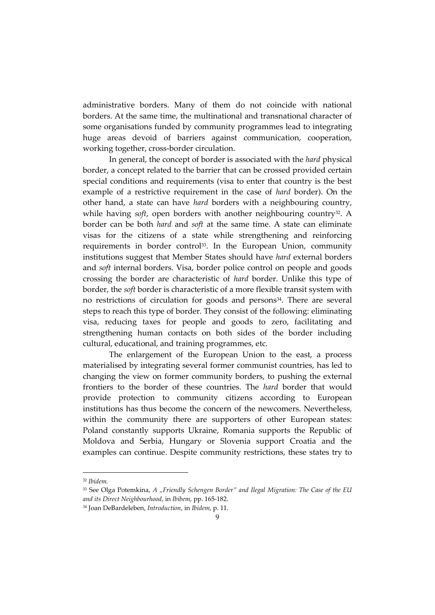administrative borders. Many of them do not coincide with national borders. At the same time, the multinational and transnational character of some organisations funded by community programmes lead to integrating huge areas devoid of barriers against communication, cooperation, working together, cross-border circulation.

In general, the concept of border is associated with the *hard* physical border, a concept related to the barrier that can be crossed provided certain special conditions and requirements (visa to enter that country is the best example of a restrictive requirement in the case of *hard* border). On the other hand, a state can have *hard* borders with a neighbouring country, while having *soft,* open borders with another neighbouring country<sup>32</sup>. A border can be both *hard* and *soft* at the same time. A state can eliminate visas for the citizens of a state while strengthening and reinforcing requirements in border control<sup>33</sup>. In the European Union, community institutions suggest that Member States should have *hard* external borders and *soft* internal borders. Visa, border police control on people and goods crossing the border are characteristic of *hard* border. Unlike this type of border, the *soft* border is characteristic of a more flexible transit system with no restrictions of circulation for goods and persons<sup>34</sup>. There are several steps to reach this type of border. They consist of the following: eliminating visa, reducing taxes for people and goods to zero, facilitating and strengthening human contacts on both sides of the border including cultural, educational, and training programmes, etc.

The enlargement of the European Union to the east, a process materialised by integrating several former communist countries, has led to changing the view on former community borders, to pushing the external frontiers to the border of these countries. The *hard* border that would provide protection to community citizens according to European institutions has thus become the concern of the newcomers. Nevertheless, within the community there are supporters of other European states: Poland constantly supports Ukraine, Romania supports the Republic of Moldova and Serbia, Hungary or Slovenia support Croatia and the examples can continue. Despite community restrictions, these states try to

<sup>32</sup> *Ibidem.* 

<sup>33</sup> See Olga Potemkina, *A "Friendly Schengen Border" and Ilegal Migration: The Case of the EU and its Direct Neighbourhood*, in *Ibibem*, pp. 165-182.

<sup>34</sup> Joan DeBardeleben, *Introduction*, in *Ibidem*, p. 11.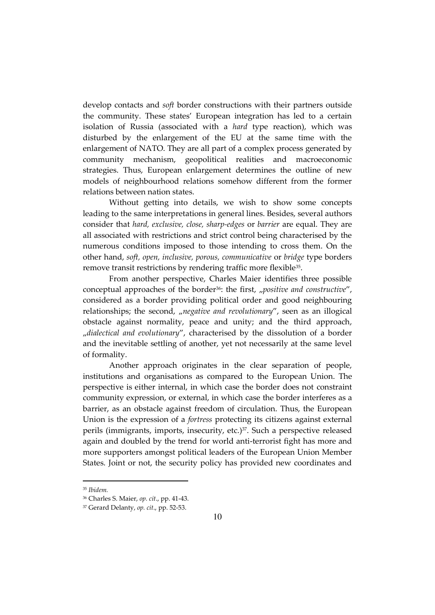develop contacts and *soft* border constructions with their partners outside the community. These states' European integration has led to a certain isolation of Russia (associated with a *hard* type reaction), which was disturbed by the enlargement of the EU at the same time with the enlargement of NATO. They are all part of a complex process generated by community mechanism, geopolitical realities and macroeconomic strategies. Thus, European enlargement determines the outline of new models of neighbourhood relations somehow different from the former relations between nation states.

Without getting into details, we wish to show some concepts leading to the same interpretations in general lines. Besides, several authors consider that *hard, exclusive, close, sharp-edges* or *barrier* are equal. They are all associated with restrictions and strict control being characterised by the numerous conditions imposed to those intending to cross them. On the other hand, *soft, open, inclusive, porous, communicative* or *bridge* type borders remove transit restrictions by rendering traffic more flexible<sup>35</sup> .

From another perspective, Charles Maier identifies three possible conceptual approaches of the border<sup>36</sup>: the first, "positive and constructive", considered as a border providing political order and good neighbouring relationships; the second, *"negative and revolutionary"*, seen as an illogical obstacle against normality, peace and unity; and the third approach, "*dialectical and evolutionary*", characterised by the dissolution of a border and the inevitable settling of another, yet not necessarily at the same level of formality.

Another approach originates in the clear separation of people, institutions and organisations as compared to the European Union. The perspective is either internal, in which case the border does not constraint community expression, or external, in which case the border interferes as a barrier, as an obstacle against freedom of circulation. Thus, the European Union is the expression of a *fortress* protecting its citizens against external perils (immigrants, imports, insecurity, etc.)<sup>37</sup>. Such a perspective released again and doubled by the trend for world anti-terrorist fight has more and more supporters amongst political leaders of the European Union Member States. Joint or not, the security policy has provided new coordinates and

<sup>35</sup> *Ibidem.* 

<sup>36</sup> Charles S. Maier, *op. cit*., pp. 41-43.

<sup>37</sup> Gerard Delanty, *op. cit*., pp. 52-53.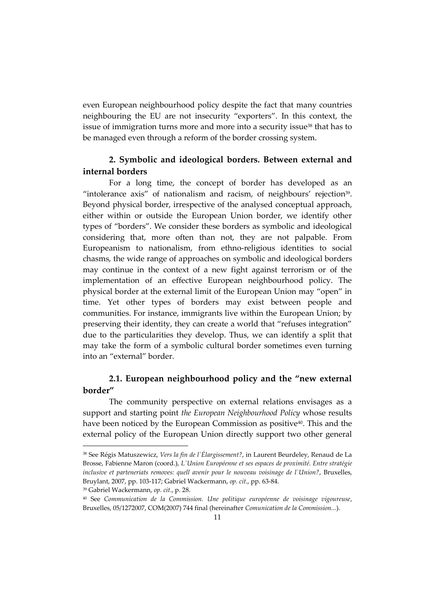even European neighbourhood policy despite the fact that many countries neighbouring the EU are not insecurity "exporters". In this context, the issue of immigration turns more and more into a security issue<sup>38</sup> that has to be managed even through a reform of the border crossing system.

## **2. Symbolic and ideological borders. Between external and internal borders**

For a long time, the concept of border has developed as an "intolerance axis" of nationalism and racism, of neighbours' rejection<sup>39</sup>. Beyond physical border, irrespective of the analysed conceptual approach, either within or outside the European Union border, we identify other types of "borders". We consider these borders as symbolic and ideological considering that, more often than not, they are not palpable. From Europeanism to nationalism, from ethno-religious identities to social chasms, the wide range of approaches on symbolic and ideological borders may continue in the context of a new fight against terrorism or of the implementation of an effective European neighbourhood policy. The physical border at the external limit of the European Union may "open" in time. Yet other types of borders may exist between people and communities. For instance, immigrants live within the European Union; by preserving their identity, they can create a world that "refuses integration" due to the particularities they develop. Thus, we can identify a split that may take the form of a symbolic cultural border sometimes even turning into an "external" border.

## **2.1. European neighbourhood policy and the "new external border"**

The community perspective on external relations envisages as a support and starting point *the European Neighbourhood Policy* whose results have been noticed by the European Commission as positive<sup>40</sup>. This and the external policy of the European Union directly support two other general

<sup>39</sup> Gabriel Wackermann, *op. cit*., p. 28.

<sup>38</sup> See Régis Matuszewicz, *Vers la fin de l`Élargissement?*, in Laurent Beurdeley, Renaud de La Brosse, Fabienne Maron (coord.), *L`Union Européenne et ses espaces de proximité. Entre stratégie inclusive et parteneriats removes: quell avenir pour le nouveau voisinage de l`Union?*, Bruxelles, Bruylant, 2007, pp. 103-117; Gabriel Wackermann, *op. cit*., pp. 63-84.

<sup>40</sup> See *Communication de la Commission. Une politique européenne de voisinage vigoureuse*, Bruxelles, 05/1272007, COM(2007) 744 final (hereinafter *Comunication de la Commission...*).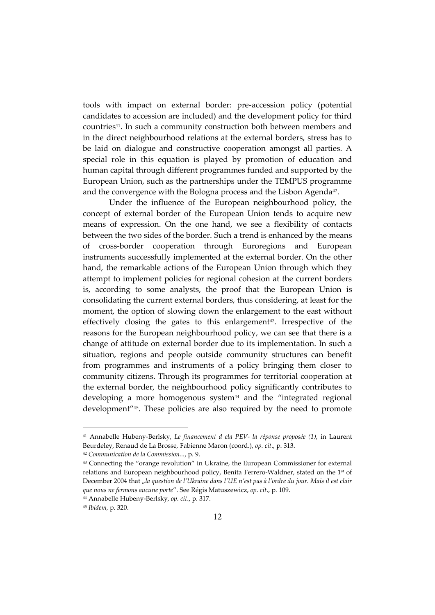tools with impact on external border: pre-accession policy (potential candidates to accession are included) and the development policy for third countries41. In such a community construction both between members and in the direct neighbourhood relations at the external borders, stress has to be laid on dialogue and constructive cooperation amongst all parties. A special role in this equation is played by promotion of education and human capital through different programmes funded and supported by the European Union, such as the partnerships under the TEMPUS programme and the convergence with the Bologna process and the Lisbon Agenda<sup>42</sup>.

Under the influence of the European neighbourhood policy, the concept of external border of the European Union tends to acquire new means of expression. On the one hand, we see a flexibility of contacts between the two sides of the border. Such a trend is enhanced by the means of cross-border cooperation through Euroregions and European instruments successfully implemented at the external border. On the other hand, the remarkable actions of the European Union through which they attempt to implement policies for regional cohesion at the current borders is, according to some analysts, the proof that the European Union is consolidating the current external borders, thus considering, at least for the moment, the option of slowing down the enlargement to the east without effectively closing the gates to this enlargement<sup>43</sup>. Irrespective of the reasons for the European neighbourhood policy, we can see that there is a change of attitude on external border due to its implementation. In such a situation, regions and people outside community structures can benefit from programmes and instruments of a policy bringing them closer to community citizens. Through its programmes for territorial cooperation at the external border, the neighbourhood policy significantly contributes to developing a more homogenous system<sup>44</sup> and the "integrated regional development" <sup>45</sup>. These policies are also required by the need to promote

<sup>41</sup> Annabelle Hubeny-Berlsky, *Le financement d ela PEV- la réponse proposée (1)*, in Laurent Beurdeley, Renaud de La Brosse, Fabienne Maron (coord.), *op. cit*., p. 313.

<sup>42</sup> *Communication de la Commission...*, p. 9.

<sup>43</sup> Connecting the "orange revolution" in Ukraine, the European Commissioner for external relations and European neighbourhood policy, Benita Ferrero-Waldner, stated on the 1st of December 2004 that "la question de l'Ukraine dans l'UE n'est pas à l'ordre du jour. Mais il est clair *que nous ne fermons aucune porte*". See Régis Matuszewicz, *op. cit*., p. 109.

<sup>44</sup> Annabelle Hubeny-Berlsky, *op. cit*., p. 317.

<sup>45</sup> *Ibidem*, p. 320.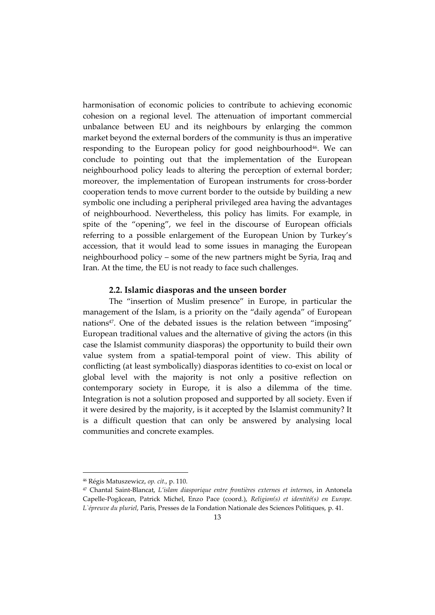harmonisation of economic policies to contribute to achieving economic cohesion on a regional level. The attenuation of important commercial unbalance between EU and its neighbours by enlarging the common market beyond the external borders of the community is thus an imperative responding to the European policy for good neighbourhood<sup>46</sup>. We can conclude to pointing out that the implementation of the European neighbourhood policy leads to altering the perception of external border; moreover, the implementation of European instruments for cross-border cooperation tends to move current border to the outside by building a new symbolic one including a peripheral privileged area having the advantages of neighbourhood. Nevertheless, this policy has limits. For example, in spite of the "opening", we feel in the discourse of European officials referring to a possible enlargement of the European Union by Turkey's accession, that it would lead to some issues in managing the European neighbourhood policy – some of the new partners might be Syria, Iraq and Iran. At the time, the EU is not ready to face such challenges.

#### **2.2. Islamic diasporas and the unseen border**

The "insertion of Muslim presence" in Europe, in particular the management of the Islam, is a priority on the "daily agenda" of European nations<sup>47</sup>. One of the debated issues is the relation between "imposing" European traditional values and the alternative of giving the actors (in this case the Islamist community diasporas) the opportunity to build their own value system from a spatial-temporal point of view. This ability of conflicting (at least symbolically) diasporas identities to co-exist on local or global level with the majority is not only a positive reflection on contemporary society in Europe, it is also a dilemma of the time. Integration is not a solution proposed and supported by all society. Even if it were desired by the majority, is it accepted by the Islamist community? It is a difficult question that can only be answered by analysing local communities and concrete examples.

<sup>46</sup> Régis Matuszewicz, *op. cit*., p. 110.

<sup>47</sup> Chantal Saint-Blancat, *L'islam diasporique entre frontières externes et internes*, in Antonela Capelle-Pogăcean, Patrick Michel, Enzo Pace (coord.), *Religion(s) et identité(s) en Europe. L`épreuve du pluriel*, Paris, Presses de la Fondation Nationale des Sciences Politiques, p. 41.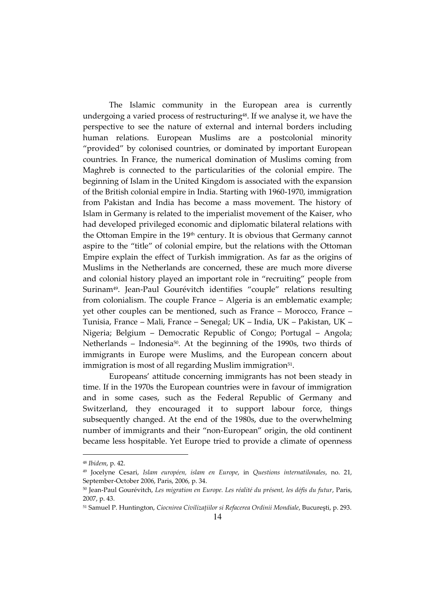The Islamic community in the European area is currently undergoing a varied process of restructuring<sup>48</sup>. If we analyse it, we have the perspective to see the nature of external and internal borders including human relations. European Muslims are a postcolonial minority "provided" by colonised countries, or dominated by important European countries. In France, the numerical domination of Muslims coming from Maghreb is connected to the particularities of the colonial empire. The beginning of Islam in the United Kingdom is associated with the expansion of the British colonial empire in India. Starting with 1960-1970, immigration from Pakistan and India has become a mass movement. The history of Islam in Germany is related to the imperialist movement of the Kaiser, who had developed privileged economic and diplomatic bilateral relations with the Ottoman Empire in the 19<sup>th</sup> century. It is obvious that Germany cannot aspire to the "title" of colonial empire, but the relations with the Ottoman Empire explain the effect of Turkish immigration. As far as the origins of Muslims in the Netherlands are concerned, these are much more diverse and colonial history played an important role in "recruiting" people from Surinam49. Jean-Paul Gourévitch identifies "couple" relations resulting from colonialism. The couple France – Algeria is an emblematic example; yet other couples can be mentioned, such as France – Morocco, France – Tunisia, France – Mali, France – Senegal; UK – India, UK – Pakistan, UK – Nigeria; Belgium – Democratic Republic of Congo; Portugal – Angola; Netherlands – Indonesia<sup>50</sup>. At the beginning of the 1990s, two thirds of immigrants in Europe were Muslims, and the European concern about immigration is most of all regarding Muslim immigration $^{51}$ .

Europeans' attitude concerning immigrants has not been steady in time. If in the 1970s the European countries were in favour of immigration and in some cases, such as the Federal Republic of Germany and Switzerland, they encouraged it to support labour force, things subsequently changed. At the end of the 1980s, due to the overwhelming number of immigrants and their "non-European" origin, the old continent became less hospitable. Yet Europe tried to provide a climate of openness

<sup>48</sup> *Ibidem*, p. 42.

<sup>49</sup> Jocelyne Cesari, *Islam européen, islam en Europe*, in *Questions internatilonales*, no. 21, September-October 2006, Paris, 2006, p. 34.

<sup>50</sup> Jean-Paul Gourévitch, *Les migration en Europe. Les réalité du présent, les défis du futur*, Paris, 2007, p. 43.

<sup>51</sup> Samuel P. Huntington, *Ciocnirea Civilizaţiilor si Refacerea Ordinii Mondiale*, Bucureşti, p. 293.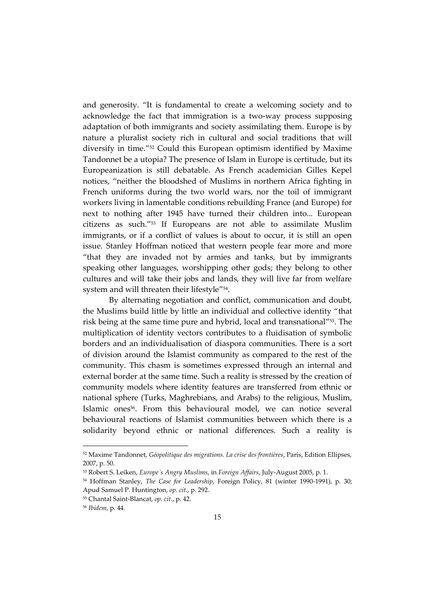and generosity. "It is fundamental to create a welcoming society and to acknowledge the fact that immigration is a two-way process supposing adaptation of both immigrants and society assimilating them. Europe is by nature a pluralist society rich in cultural and social traditions that will diversify in time."52 Could this European optimism identified by Maxime Tandonnet be a utopia? The presence of Islam in Europe is certitude, but its Europeanization is still debatable. As French academician Gilles Kepel notices, "neither the bloodshed of Muslims in northern Africa fighting in French uniforms during the two world wars, nor the toil of immigrant workers living in lamentable conditions rebuilding France (and Europe) for next to nothing after 1945 have turned their children into... European citizens as such."53 If Europeans are not able to assimilate Muslim immigrants, or if a conflict of values is about to occur, it is still an open issue. Stanley Hoffman noticed that western people fear more and more "that they are invaded not by armies and tanks, but by immigrants speaking other languages, worshipping other gods; they belong to other cultures and will take their jobs and lands, they will live far from welfare system and will threaten their lifestyle" 54 .

By alternating negotiation and conflict, communication and doubt, the Muslims build little by little an individual and collective identity "that risk being at the same time pure and hybrid, local and transnational" <sup>55</sup>. The multiplication of identity vectors contributes to a fluidisation of symbolic borders and an individualisation of diaspora communities. There is a sort of division around the Islamist community as compared to the rest of the community. This chasm is sometimes expressed through an internal and external border at the same time. Such a reality is stressed by the creation of community models where identity features are transferred from ethnic or national sphere (Turks, Maghrebians, and Arabs) to the religious, Muslim, Islamic ones56. From this behavioural model, we can notice several behavioural reactions of Islamist communities between which there is a solidarity beyond ethnic or national differences. Such a reality is

<sup>52</sup> Maxime Tandonnet, *Géopolitique des migrations. La crise des frontières*, Paris, Edition Ellipses, 2007, p. 50.

<sup>53</sup> Robert S. Leiken, *Europe´s Angry Muslims*, in *Foreign Affairs*, July-August 2005, p. 1.

<sup>54</sup> Hoffman Stanley, *The Case for Leadership*, Foreign Policy, 81 (winter 1990-1991), p. 30; Apud Samuel P. Huntington, *op. cit*., p. 292.

<sup>55</sup> Chantal Saint-Blancat, *op. cit*., p. 42.

<sup>56</sup> *Ibidem*, p. 44.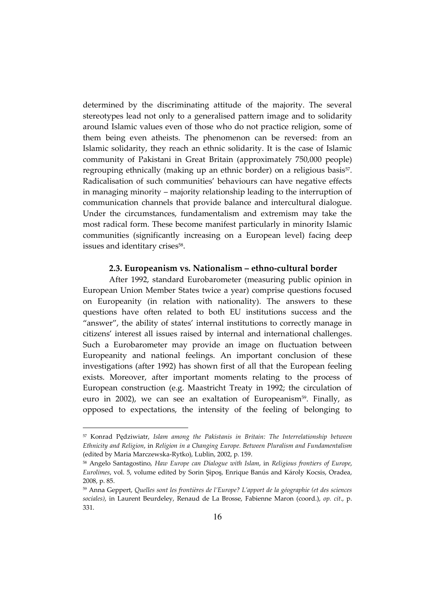determined by the discriminating attitude of the majority. The several stereotypes lead not only to a generalised pattern image and to solidarity around Islamic values even of those who do not practice religion, some of them being even atheists. The phenomenon can be reversed: from an Islamic solidarity, they reach an ethnic solidarity. It is the case of Islamic community of Pakistani in Great Britain (approximately 750,000 people) regrouping ethnically (making up an ethnic border) on a religious basis<sup>57</sup>. Radicalisation of such communities' behaviours can have negative effects in managing minority – majority relationship leading to the interruption of communication channels that provide balance and intercultural dialogue. Under the circumstances, fundamentalism and extremism may take the most radical form. These become manifest particularly in minority Islamic communities (significantly increasing on a European level) facing deep issues and identitary crises<sup>58</sup>.

#### **2.3. Europeanism vs. Nationalism – ethno-cultural border**

After 1992, standard Eurobarometer (measuring public opinion in European Union Member States twice a year) comprise questions focused on Europeanity (in relation with nationality). The answers to these questions have often related to both EU institutions success and the "answer", the ability of states' internal institutions to correctly manage in citizens' interest all issues raised by internal and international challenges. Such a Eurobarometer may provide an image on fluctuation between Europeanity and national feelings. An important conclusion of these investigations (after 1992) has shown first of all that the European feeling exists. Moreover, after important moments relating to the process of European construction (e.g. Maastricht Treaty in 1992; the circulation of euro in 2002), we can see an exaltation of Europeanism<sup>59</sup>. Finally, as opposed to expectations, the intensity of the feeling of belonging to

<sup>57</sup> Konrad Pędziwiatr, *Islam among the Pakistanis in Britain: The Interrelationship between Ethnicity and Religion*, in *Religion in a Changing Europe. Between Pluralism and Fundamentalism*  (edited by Maria Marczewska-Rytko), Lublin, 2002, p. 159.

<sup>58</sup> Angelo Santagostino, *Haw Europe can Dialogue with Islam*, in *Religious frontiers of Europe*, *Eurolimes, vol. 5, volume edited by Sorin Şipoş, Enrique Banús and Károly Kocsis, Oradea,* 2008, p. 85.

<sup>59</sup> Anna Geppert, *Quelles sont les frontières de l'Europe? L'apport de la géographie (et des sciences sociales)*, in Laurent Beurdeley, Renaud de La Brosse, Fabienne Maron (coord.), *op. cit*., p. 331.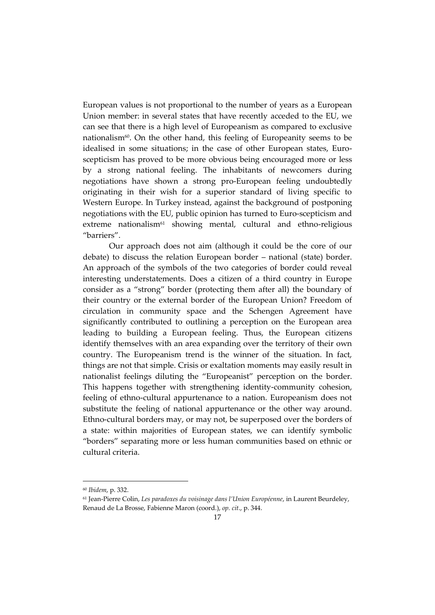European values is not proportional to the number of years as a European Union member: in several states that have recently acceded to the EU, we can see that there is a high level of Europeanism as compared to exclusive nationalism $60$ . On the other hand, this feeling of Europeanity seems to be idealised in some situations; in the case of other European states, Euroscepticism has proved to be more obvious being encouraged more or less by a strong national feeling. The inhabitants of newcomers during negotiations have shown a strong pro-European feeling undoubtedly originating in their wish for a superior standard of living specific to Western Europe. In Turkey instead, against the background of postponing negotiations with the EU, public opinion has turned to Euro-scepticism and extreme nationalism<sup>61</sup> showing mental, cultural and ethno-religious "barriers".

Our approach does not aim (although it could be the core of our debate) to discuss the relation European border – national (state) border. An approach of the symbols of the two categories of border could reveal interesting understatements. Does a citizen of a third country in Europe consider as a "strong" border (protecting them after all) the boundary of their country or the external border of the European Union? Freedom of circulation in community space and the Schengen Agreement have significantly contributed to outlining a perception on the European area leading to building a European feeling. Thus, the European citizens identify themselves with an area expanding over the territory of their own country. The Europeanism trend is the winner of the situation. In fact, things are not that simple. Crisis or exaltation moments may easily result in nationalist feelings diluting the "Europeanist" perception on the border. This happens together with strengthening identity-community cohesion, feeling of ethno-cultural appurtenance to a nation. Europeanism does not substitute the feeling of national appurtenance or the other way around. Ethno-cultural borders may, or may not, be superposed over the borders of a state: within majorities of European states, we can identify symbolic "borders" separating more or less human communities based on ethnic or cultural criteria.

<sup>60</sup> *Ibidem*, p. 332.

<sup>61</sup> Jean-Pierre Colin, *Les paradoxes du voisinage dans l'Union Européenne*, in Laurent Beurdeley, Renaud de La Brosse, Fabienne Maron (coord.), *op. cit*., p. 344.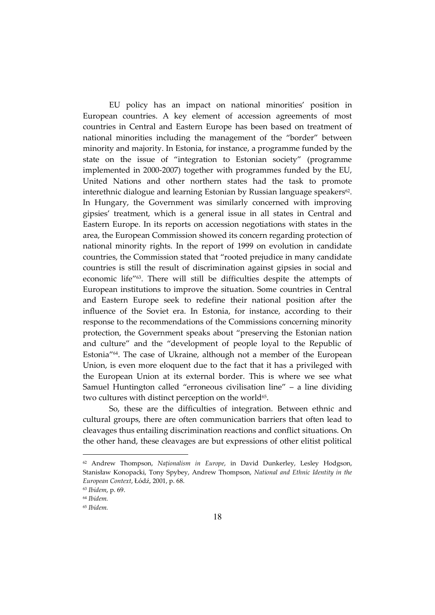EU policy has an impact on national minorities' position in European countries. A key element of accession agreements of most countries in Central and Eastern Europe has been based on treatment of national minorities including the management of the "border" between minority and majority. In Estonia, for instance, a programme funded by the state on the issue of "integration to Estonian society" (programme implemented in 2000-2007) together with programmes funded by the EU, United Nations and other northern states had the task to promote interethnic dialogue and learning Estonian by Russian language speakers<sup>62</sup>. In Hungary, the Government was similarly concerned with improving gipsies' treatment, which is a general issue in all states in Central and Eastern Europe. In its reports on accession negotiations with states in the area, the European Commission showed its concern regarding protection of national minority rights. In the report of 1999 on evolution in candidate countries, the Commission stated that "rooted prejudice in many candidate countries is still the result of discrimination against gipsies in social and economic life" <sup>63</sup>. There will still be difficulties despite the attempts of European institutions to improve the situation. Some countries in Central and Eastern Europe seek to redefine their national position after the influence of the Soviet era. In Estonia, for instance, according to their response to the recommendations of the Commissions concerning minority protection, the Government speaks about "preserving the Estonian nation and culture" and the "development of people loyal to the Republic of Estonia"64. The case of Ukraine, although not a member of the European Union, is even more eloquent due to the fact that it has a privileged with the European Union at its external border. This is where we see what Samuel Huntington called "erroneous civilisation line" – a line dividing two cultures with distinct perception on the world $65$ .

So, these are the difficulties of integration. Between ethnic and cultural groups, there are often communication barriers that often lead to cleavages thus entailing discrimination reactions and conflict situations. On the other hand, these cleavages are but expressions of other elitist political

<sup>62</sup> Andrew Thompson, *Naţionalism in Europe*, in David Dunkerley, Lesley Hodgson, Stanisław Konopacki, Tony Spybey, Andrew Thompson, *National and Ethnic Identity in the European Context*, Łódź, 2001, p. 68.

<sup>63</sup> *Ibidem*, p. 69.

<sup>64</sup> *Ibidem.* 

<sup>65</sup> *Ibidem.*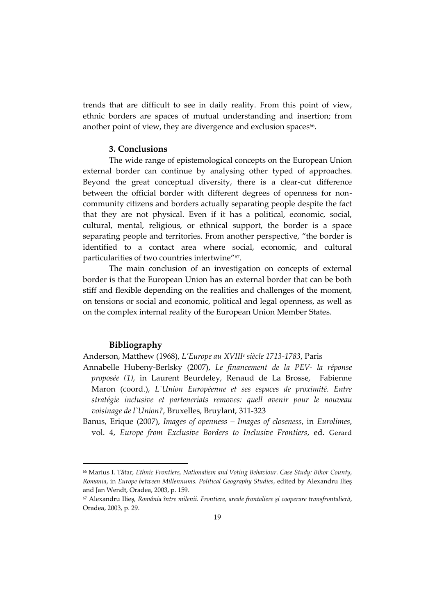trends that are difficult to see in daily reality. From this point of view, ethnic borders are spaces of mutual understanding and insertion; from another point of view, they are divergence and exclusion spaces<sup>66</sup>.

### **3. Conclusions**

The wide range of epistemological concepts on the European Union external border can continue by analysing other typed of approaches. Beyond the great conceptual diversity, there is a clear-cut difference between the official border with different degrees of openness for noncommunity citizens and borders actually separating people despite the fact that they are not physical. Even if it has a political, economic, social, cultural, mental, religious, or ethnical support, the border is a space separating people and territories. From another perspective, "the border is identified to a contact area where social, economic, and cultural particularities of two countries intertwine" 67 .

The main conclusion of an investigation on concepts of external border is that the European Union has an external border that can be both stiff and flexible depending on the realities and challenges of the moment, on tensions or social and economic, political and legal openness, as well as on the complex internal reality of the European Union Member States.

#### **Bibliography**

 $\overline{a}$ 

Anderson, Matthew (1968), *L'Europe au XVIII<sup>e</sup> siècle 1713-1783*, Paris

- Annabelle Hubeny-Berlsky (2007), *Le financement de la PEV- la réponse proposée (1)*, in Laurent Beurdeley, Renaud de La Brosse, Fabienne Maron (coord.), *L`Union Européenne et ses espaces de proximité. Entre stratégie inclusive et parteneriats removes: quell avenir pour le nouveau voisinage de l`Union?*, Bruxelles, Bruylant, 311-323
- Banus, Erique (2007), *Images of openness – Images of closeness*, in *Eurolimes*, vol. 4, *Europe from Exclusive Borders to Inclusive Frontiers*, ed. Gerard

<sup>66</sup> Marius I. Tătar, *Ethnic Frontiers, Nationalism and Voting Behaviour. Case Study: Bihor County, Romania*, in *Europe between Millennums. Political Geography Studies*, edited by Alexandru Ilieş and Jan Wendt, Oradea, 2003, p. 159.

<sup>67</sup> Alexandru Ilieş, *România între milenii. Frontiere, areale frontaliere şi cooperare transfrontalieră*, Oradea, 2003, p. 29.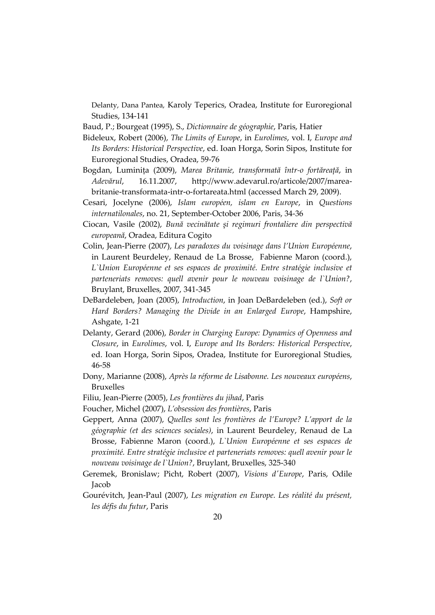Delanty, Dana Pantea, Karoly Teperics, Oradea, Institute for Euroregional Studies, 134-141

Baud, P.; Bourgeat (1995), S., *Dictionnaire de géographie*, Paris, Hatier

- Bideleux, Robert (2006), *The Limits of Europe*, in *Eurolimes*, vol. I, *Europe and Its Borders: Historical Perspective*, ed. Ioan Horga, Sorin Sipos, Institute for Euroregional Studies, Oradea, 59-76
- Bogdan, Luminiţa (2009), *Marea Britanie, transformată într-o fortăreaţă*, in *Adevărul*, 16.11.2007, [http://www.adevarul.ro/articole/2007/marea](http://www.adevarul.ro/articole/2007/marea-britanie-transformata-intr-o-fortareata.html)[britanie-transformata-intr-o-fortareata.html](http://www.adevarul.ro/articole/2007/marea-britanie-transformata-intr-o-fortareata.html) (accessed March 29, 2009).
- Cesari, Jocelyne (2006), *Islam européen, islam en Europe*, in *Questions internatilonales*, no. 21, September-October 2006, Paris, 34-36
- Ciocan, Vasile (2002), *Bună vecinătate şi regimuri frontaliere din perspectivă europeană*, Oradea, Editura Cogito
- Colin, Jean-Pierre (2007), *Les paradoxes du voisinage dans l'Union Européenne*, in Laurent Beurdeley, Renaud de La Brosse, Fabienne Maron (coord.), L'Union Européenne et ses espaces de proximité. Entre stratégie inclusive et *parteneriats removes: quell avenir pour le nouveau voisinage de l`Union?*, Bruylant, Bruxelles, 2007, 341-345
- DeBardeleben, Joan (2005), *Introduction*, in Joan DeBardeleben (ed.), *Soft or Hard Borders? Managing the Divide in an Enlarged Europe*, Hampshire, Ashgate, 1-21
- Delanty, Gerard (2006), *Border in Charging Europe: Dynamics of Openness and Closure*, in *Eurolimes*, vol. I, *Europe and Its Borders: Historical Perspective*, ed. Ioan Horga, Sorin Sipos, Oradea, Institute for Euroregional Studies, 46-58
- Dony, Marianne (2008), *Après la réforme de Lisabonne. Les nouveaux européens*, Bruxelles
- Filiu, Jean-Pierre (2005), *Les frontières du jihad*, Paris
- Foucher, Michel (2007), *L'obsession des frontières*, Paris
- Geppert, Anna (2007), *Quelles sont les frontières de l'Europe? L'apport de la géographie (et des sciences sociales)*, in Laurent Beurdeley, Renaud de La Brosse, Fabienne Maron (coord.), *L`Union Européenne et ses espaces de proximité. Entre stratégie inclusive et parteneriats removes: quell avenir pour le nouveau voisinage de l`Union?*, Bruylant, Bruxelles, 325-340
- Geremek, Bronislaw; Picht, Robert (2007), *Visions d'Europe*, Paris, Odile Jacob
- Gourévitch, Jean-Paul (2007), *Les migration en Europe. Les réalité du présent, les défis du futur*, Paris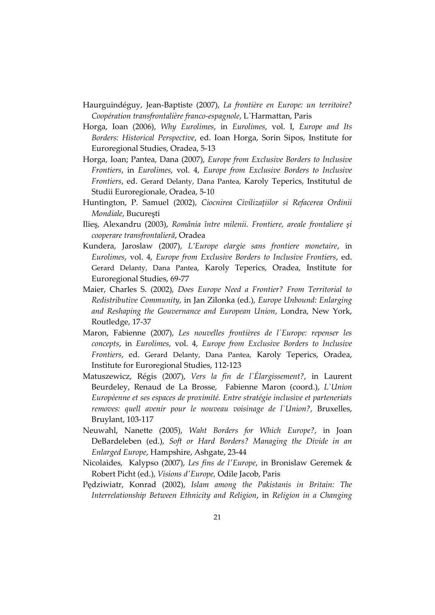- Haurguindéguy, Jean-Baptiste (2007), *La frontière en Europe: un territoire? Coopération transfrontalière franco-espagnole*, L`Harmattan, Paris
- Horga, Ioan (2006), *Why Eurolimes*, in *Eurolimes*, vol. I, *Europe and Its Borders: Historical Perspective*, ed. Ioan Horga, Sorin Sipos, Institute for Euroregional Studies, Oradea, 5-13
- Horga, Ioan; Pantea, Dana (2007), *Europe from Exclusive Borders to Inclusive Frontiers*, in *Eurolimes*, vol. 4, *Europe from Exclusive Borders to Inclusive Frontiers*, ed. Gerard Delanty, Dana Pantea, Karoly Teperics, Institutul de Studii Euroregionale, Oradea, 5-10
- Huntington, P. Samuel (2002), *Ciocnirea Civilizaţiilor si Refacerea Ordinii Mondiale*, Bucureşti
- Ilieş, Alexandru (2003), *România între milenii. Frontiere, areale frontaliere şi cooperare transfrontalieră*, Oradea
- Kundera, Jaroslaw (2007), *L'Europe elargie sans frontiere monetaire*, in *Eurolimes*, vol. 4, *Europe from Exclusive Borders to Inclusive Frontiers*, ed. Gerard Delanty, Dana Pantea, Karoly Teperics, Oradea, Institute for Euroregional Studies, 69-77
- Maier, Charles S. (2002), *Does Europe Need a Frontier? From Territorial to Redistributive Community*, in Jan Zilonka (ed.), *Europe Unbound: Enlarging and Reshaping the Gouvernance and European Union*, Londra, New York, Routledge, 17-37
- Maron, Fabienne (2007), *Les nouvelles frontières de l`Europe: repenser les concepts*, in *Eurolimes*, vol. 4, *Europe from Exclusive Borders to Inclusive Frontiers*, ed. Gerard Delanty, Dana Pantea, Karoly Teperics, Oradea, Institute for Euroregional Studies, 112-123
- Matuszewicz, Régis (2007), *Vers la fin de l`Élargissement?*, in Laurent Beurdeley, Renaud de La Brosse, Fabienne Maron (coord.), *L`Union Européenne et ses espaces de proximité. Entre stratégie inclusive et parteneriats removes: quell avenir pour le nouveau voisinage de l`Union?*, Bruxelles, Bruylant, 103-117
- Neuwahl, Nanette (2005), *Waht Borders for Which Europe?*, in Joan DeBardeleben (ed.), *Soft or Hard Borders? Managing the Divide in an Enlarged Europe*, Hampshire, Ashgate, 23-44
- Nicolaides, Kalypso (2007), *Les fins de l'Europe*, in Bronislaw Geremek & Robert Picht (ed.), *Visions d'Europe,* Odile Jacob, Paris
- Pędziwiatr, Konrad (2002), *Islam among the Pakistanis in Britain: The Interrelationship Between Ethnicity and Religion*, in *Religion in a Changing*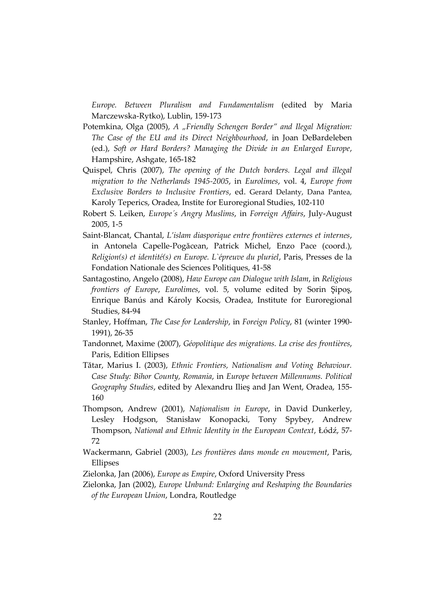*Europe. Between Pluralism and Fundamentalism* (edited by Maria Marczewska-Rytko), Lublin, 159-173

- Potemkina, Olga (2005), *A "Friendly Schengen Border" and Ilegal Migration: The Case of the EU and its Direct Neighbourhood*, in Joan DeBardeleben (ed.), *Soft or Hard Borders? Managing the Divide in an Enlarged Europe*, Hampshire, Ashgate, 165-182
- Quispel, Chris (2007), *The opening of the Dutch borders. Legal and illegal migration to the Netherlands 1945-2005*, in *Eurolimes*, vol. 4, *Europe from Exclusive Borders to Inclusive Frontiers*, ed. Gerard Delanty, Dana Pantea, Karoly Teperics, Oradea, Instite for Euroregional Studies, 102-110
- Robert S. Leiken, *Europe´s Angry Muslims*, in *Forreign Affairs*, July-August 2005, 1-5
- Saint-Blancat, Chantal, *L'islam diasporique entre frontières externes et internes*, in Antonela Capelle-Pogăcean, Patrick Michel, Enzo Pace (coord.), *Religion(s) et identité(s) en Europe. L`épreuve du pluriel*, Paris, Presses de la Fondation Nationale des Sciences Politiques, 41-58
- Santagostino, Angelo (2008), *Haw Europe can Dialogue with Islam*, in *Religious frontiers of Europe*, *Eurolimes*, vol. 5, volume edited by Sorin Şipoş, Enrique Banús and Károly Kocsis, Oradea, Institute for Euroregional Studies, 84-94
- Stanley, Hoffman, *The Case for Leadership*, in *Foreign Policy*, 81 (winter 1990- 1991), 26-35
- Tandonnet, Maxime (2007), *Géopolitique des migrations. La crise des frontières*, Paris, Edition Ellipses
- Tătar, Marius I. (2003), *Ethnic Frontiers, Nationalism and Voting Behaviour. Case Study: Bihor County, Romania*, in *Europe between Millennums. Political Geography Studies*, edited by Alexandru Ilieş and Jan Went, Oradea, 155- 160
- Thompson, Andrew (2001), *Naţionalism in Europe*, in David Dunkerley, Lesley Hodgson, Stanisław Konopacki, Tony Spybey, Andrew Thompson, *National and Ethnic Identity in the European Context*, Łódź, 57- 72
- Wackermann, Gabriel (2003), *Les frontières dans monde en mouvment*, Paris, Ellipses
- Zielonka, Jan (2006), *Europe as Empire*, Oxford University Press
- Zielonka, Jan (2002), *Europe Unbund: Enlarging and Reshaping the Boundaries of the European Union*, Londra, Routledge